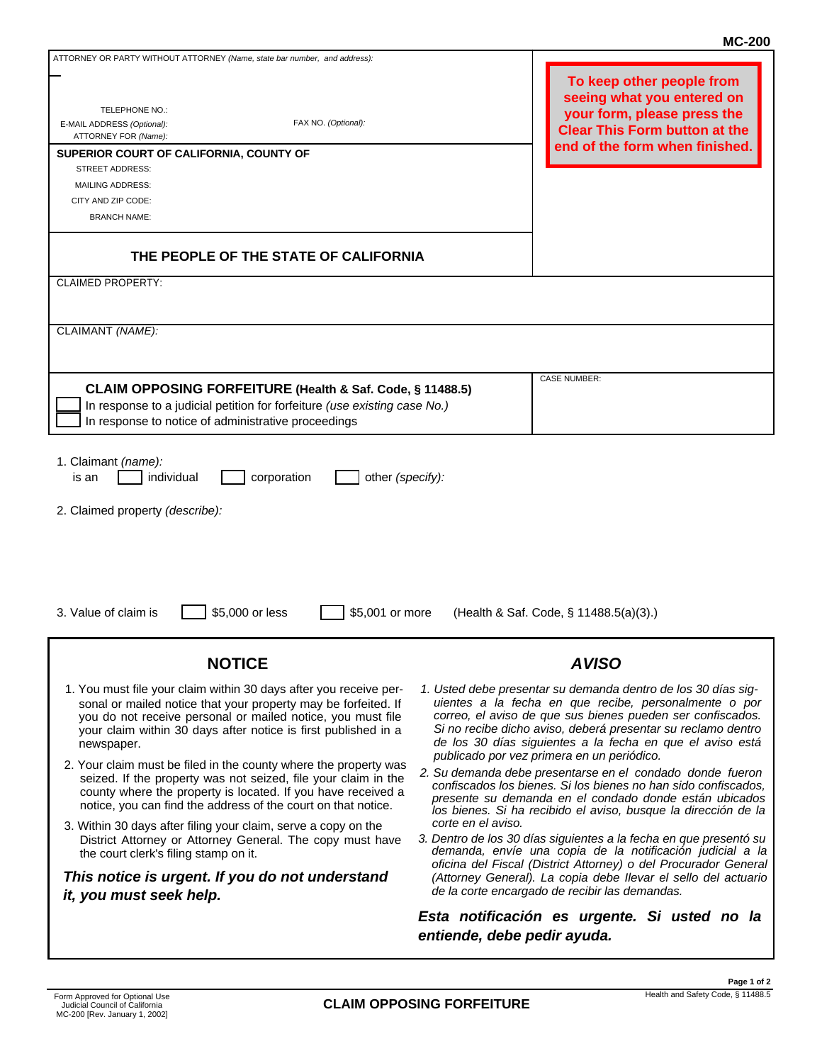| ATTORNEY OR PARTY WITHOUT ATTORNEY (Name, state bar number, and address):                                                                                                                                                                                                          |                                                                                                                                                                                                                                                                                                                                                                 |  |
|------------------------------------------------------------------------------------------------------------------------------------------------------------------------------------------------------------------------------------------------------------------------------------|-----------------------------------------------------------------------------------------------------------------------------------------------------------------------------------------------------------------------------------------------------------------------------------------------------------------------------------------------------------------|--|
| TELEPHONE NO.:<br>FAX NO. (Optional):<br>E-MAIL ADDRESS (Optional):<br>ATTORNEY FOR (Name):<br>SUPERIOR COURT OF CALIFORNIA, COUNTY OF<br><b>STREET ADDRESS:</b><br><b>MAILING ADDRESS:</b><br>CITY AND ZIP CODE:<br><b>BRANCH NAME:</b>                                           | To keep other people from<br>seeing what you entered on<br>your form, please press the<br><b>Clear This Form button at the</b><br>end of the form when finished.                                                                                                                                                                                                |  |
| THE PEOPLE OF THE STATE OF CALIFORNIA                                                                                                                                                                                                                                              |                                                                                                                                                                                                                                                                                                                                                                 |  |
| <b>CLAIMED PROPERTY:</b>                                                                                                                                                                                                                                                           |                                                                                                                                                                                                                                                                                                                                                                 |  |
| CLAIMANT (NAME):                                                                                                                                                                                                                                                                   |                                                                                                                                                                                                                                                                                                                                                                 |  |
| CLAIM OPPOSING FORFEITURE (Health & Saf. Code, § 11488.5)<br>In response to a judicial petition for forfeiture (use existing case No.)<br>In response to notice of administrative proceedings                                                                                      | <b>CASE NUMBER:</b>                                                                                                                                                                                                                                                                                                                                             |  |
| 1. Claimant (name):<br>individual<br>corporation<br>other (specify):<br>is an<br>2. Claimed property (describe):<br>3. Value of claim is<br>\$5,000 or less<br>\$5,001 or more                                                                                                     | (Health & Saf. Code, § 11488.5(a)(3).)                                                                                                                                                                                                                                                                                                                          |  |
| <b>NOTICE</b>                                                                                                                                                                                                                                                                      | <b>AVISO</b>                                                                                                                                                                                                                                                                                                                                                    |  |
| 1. You must file your claim within 30 days after you receive per-<br>sonal or mailed notice that your property may be forfeited. If<br>you do not receive personal or mailed notice, you must file<br>your claim within 30 days after notice is first published in a<br>newspaper. | 1. Usted debe presentar su demanda dentro de los 30 días sig-<br>uientes a la fecha en que recibe, personalmente o por<br>correo, el aviso de que sus bienes pueden ser confiscados.<br>Si no recibe dicho aviso, deberá presentar su reclamo dentro<br>de los 30 días siguientes a la fecha en que el aviso está<br>publicado por vez primera en un periódico. |  |
| 2. Your claim must be filed in the county where the property was<br>seized. If the property was not seized, file your claim in the<br>county where the property is located. If you have received a<br>notice, you can find the address of the court on that notice.                | 2. Su demanda debe presentarse en el condado donde fueron<br>confiscados los bienes. Si los bienes no han sido confiscados.<br>presente su demanda en el condado donde están ubicados<br>los bienes. Si ha recibido el aviso, busque la dirección de la                                                                                                         |  |
| 3. Within 30 days after filing your claim, serve a copy on the<br>District Attorney or Attorney General. The copy must have<br>the court clerk's filing stamp on it.                                                                                                               | corte en el aviso.<br>3. Dentro de los 30 días siguientes a la fecha en que presentó su<br>demanda, envíe una copia de la notificación judicial a la<br>oficina del Fiscal (District Attorney) o del Procurador General                                                                                                                                         |  |
| This notice is urgent. If you do not understand<br>it, you must seek help.                                                                                                                                                                                                         | (Attorney General). La copia debe llevar el sello del actuario<br>de la corte encargado de recibir las demandas.                                                                                                                                                                                                                                                |  |
|                                                                                                                                                                                                                                                                                    | Esta notificación es urgente. Si usted no la<br>entiende, debe pedir ayuda.                                                                                                                                                                                                                                                                                     |  |
|                                                                                                                                                                                                                                                                                    | Page 1 of 2                                                                                                                                                                                                                                                                                                                                                     |  |